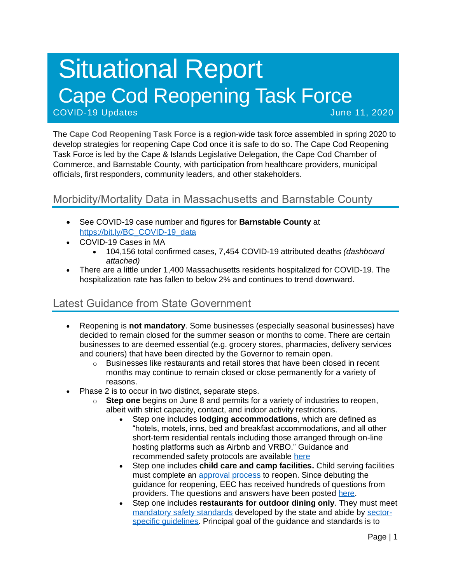# Situational Report Cape Cod Reopening Task Force COVID-19 Updates June 11, 2020

The **Cape Cod Reopening Task Force** is a region-wide task force assembled in spring 2020 to develop strategies for reopening Cape Cod once it is safe to do so. The Cape Cod Reopening Task Force is led by the Cape & Islands Legislative Delegation, the Cape Cod Chamber of Commerce, and Barnstable County, with participation from healthcare providers, municipal officials, first responders, community leaders, and other stakeholders.

## Morbidity/Mortality Data in Massachusetts and Barnstable County

- See COVID-19 case number and figures for **Barnstable County** at [https://bit.ly/BC\\_COVID-19\\_data](https://bit.ly/BC_COVID-19_data)
- COVID-19 Cases in MA
	- 104,156 total confirmed cases, 7,454 COVID-19 attributed deaths *(dashboard attached)*
- There are a little under 1,400 Massachusetts residents hospitalized for COVID-19. The hospitalization rate has fallen to below 2% and continues to trend downward.

## Latest Guidance from State Government

- Reopening is **not mandatory**. Some businesses (especially seasonal businesses) have decided to remain closed for the summer season or months to come. There are certain businesses to are deemed essential (e.g. grocery stores, pharmacies, delivery services and couriers) that have been directed by the Governor to remain open.
	- $\circ$  Businesses like restaurants and retail stores that have been closed in recent months may continue to remain closed or close permanently for a variety of reasons.
- Phase 2 is to occur in two distinct, separate steps.
	- o **Step one** begins on June 8 and permits for a variety of industries to reopen, albeit with strict capacity, contact, and indoor activity restrictions.
		- Step one includes **lodging accommodations**, which are defined as "hotels, motels, inns, bed and breakfast accommodations, and all other short-term residential rentals including those arranged through on-line hosting platforms such as Airbnb and VRBO." Guidance and recommended safety protocols are available [here](https://www.mass.gov/info-details/safety-standards-and-checklist-operators-of-lodgings)
		- Step one includes **child care and camp facilities.** Child serving facilities must complete an [approval process](https://eeclead.force.com/resource/1591618751000/ReopeningProcessOverview) to reopen. Since debuting the guidance for reopening, EEC has received hundreds of questions from providers. The questions and answers have been posted [here.](https://eeclead.force.com/resource/1591618750000/FAQ_Min_Req)
		- Step one includes **restaurants for outdoor dining only**. They must meet [mandatory safety standards](https://www.mass.gov/doc/restaurants-protocol-summary-english/download) developed by the state and abide by [sector](https://www.mass.gov/info-details/safety-standards-and-checklist-restaurants#quick-reference-documents-)[specific guidelines.](https://www.mass.gov/info-details/safety-standards-and-checklist-restaurants#quick-reference-documents-) Principal goal of the guidance and standards is to